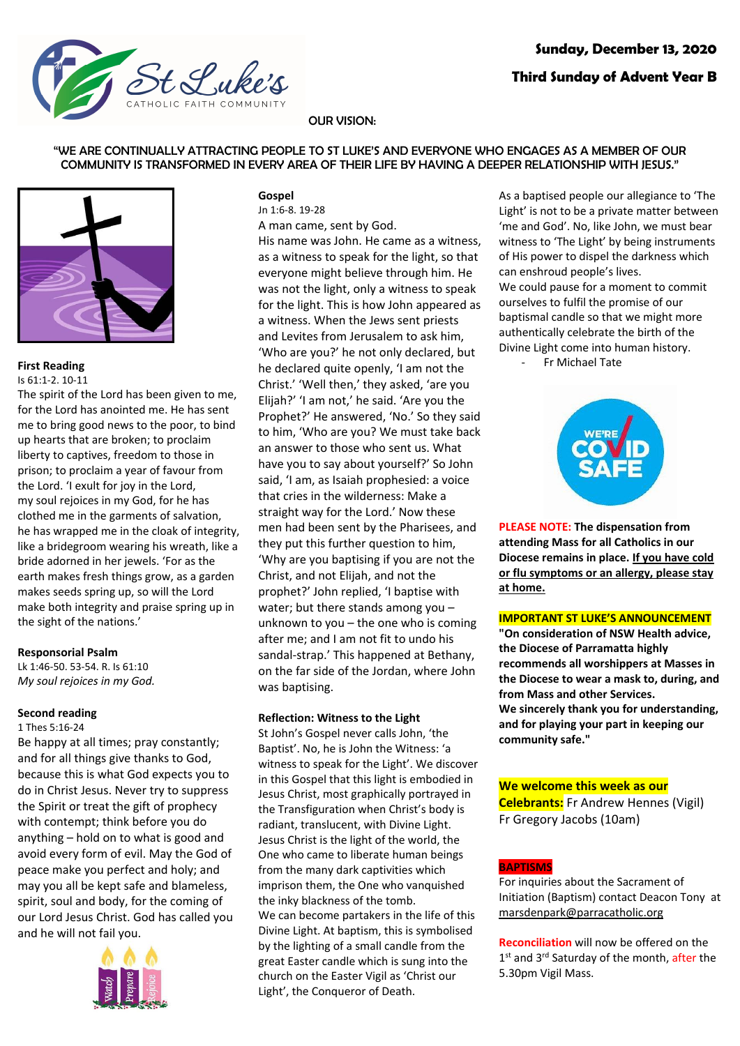

# OUR VISION:

### "WE ARE CONTINUALLY ATTRACTING PEOPLE TO ST LUKE'S AND EVERYONE WHO ENGAGES AS A MEMBER OF OUR COMMUNITY IS TRANSFORMED IN EVERY AREA OF THEIR LIFE BY HAVING A DEEPER RELATIONSHIP WITH JESUS."



# **First Reading**

Is 61:1-2. 10-11

The spirit of the Lord has been given to me, for the Lord has anointed me. He has sent me to bring good news to the poor, to bind up hearts that are broken; to proclaim liberty to captives, freedom to those in prison; to proclaim a year of favour from the Lord. 'I exult for joy in the Lord, my soul rejoices in my God, for he has clothed me in the garments of salvation, he has wrapped me in the cloak of integrity, like a bridegroom wearing his wreath, like a bride adorned in her jewels. 'For as the earth makes fresh things grow, as a garden makes seeds spring up, so will the Lord make both integrity and praise spring up in the sight of the nations.'

### **Responsorial Psalm**

Lk 1:46-50. 53-54. R. Is 61:10 *My soul rejoices in my God.*

# **Second reading**

### 1 Thes 5:16-24

Be happy at all times; pray constantly; and for all things give thanks to God, because this is what God expects you to do in Christ Jesus. Never try to suppress the Spirit or treat the gift of prophecy with contempt; think before you do anything – hold on to what is good and avoid every form of evil. May the God of peace make you perfect and holy; and may you all be kept safe and blameless, spirit, soul and body, for the coming of our Lord Jesus Christ. God has called you and he will not fail you.



# **Gospel**

Jn 1:6-8. 19-28 A man came, sent by God.

His name was John. He came as a witness, as a witness to speak for the light, so that everyone might believe through him. He was not the light, only a witness to speak for the light. This is how John appeared as a witness. When the Jews sent priests and Levites from Jerusalem to ask him, 'Who are you?' he not only declared, but he declared quite openly, 'I am not the Christ.' 'Well then,' they asked, 'are you Elijah?' 'I am not,' he said. 'Are you the Prophet?' He answered, 'No.' So they said to him, 'Who are you? We must take back an answer to those who sent us. What have you to say about yourself?' So John said, 'I am, as Isaiah prophesied: a voice that cries in the wilderness: Make a straight way for the Lord.' Now these men had been sent by the Pharisees, and they put this further question to him, 'Why are you baptising if you are not the Christ, and not Elijah, and not the prophet?' John replied, 'I baptise with water; but there stands among you – unknown to you – the one who is coming after me; and I am not fit to undo his sandal-strap.' This happened at Bethany, on the far side of the Jordan, where John was baptising.

# **Reflection: Witness to the Light**

St John's Gospel never calls John, 'the Baptist'. No, he is John the Witness: 'a witness to speak for the Light'. We discover in this Gospel that this light is embodied in Jesus Christ, most graphically portrayed in the Transfiguration when Christ's body is radiant, translucent, with Divine Light. Jesus Christ is the light of the world, the One who came to liberate human beings from the many dark captivities which imprison them, the One who vanquished the inky blackness of the tomb. We can become partakers in the life of this Divine Light. At baptism, this is symbolised by the lighting of a small candle from the great Easter candle which is sung into the church on the Easter Vigil as 'Christ our Light', the Conqueror of Death.

As a baptised people our allegiance to 'The Light' is not to be a private matter between 'me and God'. No, like John, we must bear witness to 'The Light' by being instruments of His power to dispel the darkness which can enshroud people's lives. We could pause for a moment to commit ourselves to fulfil the promise of our baptismal candle so that we might more authentically celebrate the birth of the Divine Light come into human history. - Fr Michael Tate



**PLEASE NOTE: The dispensation from attending Mass for all Catholics in our Diocese remains in place. If you have cold or flu symptoms or an allergy, please stay at home.**

# **IMPORTANT ST LUKE'S ANNOUNCEMENT**

**"On consideration of NSW Health advice, the Diocese of Parramatta highly recommends all worshippers at Masses in the Diocese to wear a mask to, during, and from Mass and other Services. We sincerely thank you for understanding, and for playing your part in keeping our community safe."**

# **We welcome this week as our**

**Celebrants:** Fr Andrew Hennes (Vigil) Fr Gregory Jacobs (10am)

# **BAPTISMS**

For inquiries about the Sacrament of Initiation (Baptism) contact Deacon Tony at marsdenpark@parracatholic.org

**Reconciliation** will now be offered on the 1<sup>st</sup> and 3<sup>rd</sup> Saturday of the month, after the 5.30pm Vigil Mass.